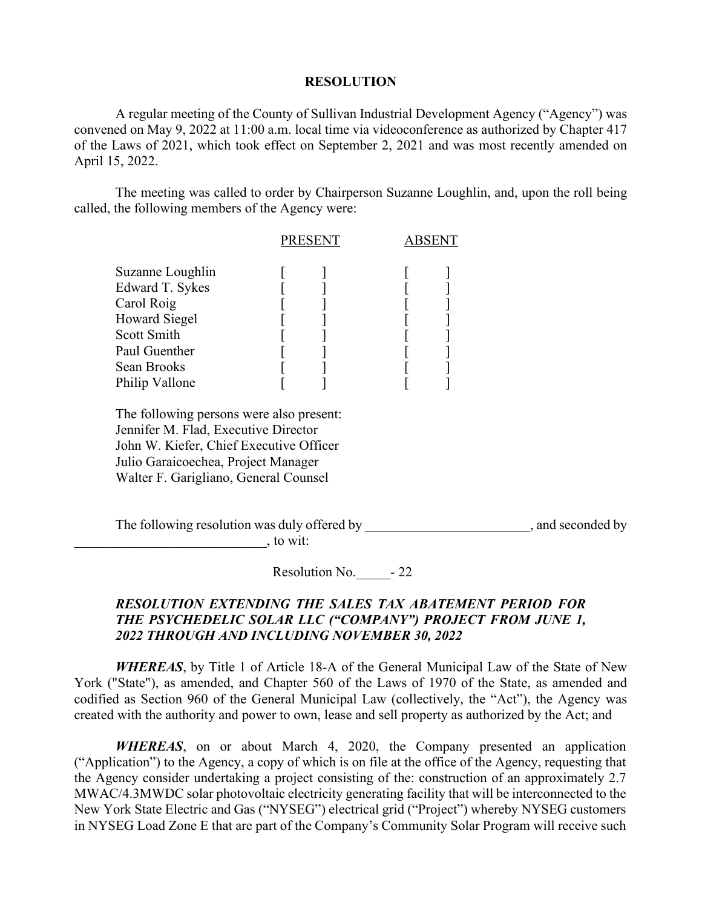## **RESOLUTION**

A regular meeting of the County of Sullivan Industrial Development Agency ("Agency") was convened on May 9, 2022 at 11:00 a.m. local time via videoconference as authorized by Chapter 417 of the Laws of 2021, which took effect on September 2, 2021 and was most recently amended on April 15, 2022.

The meeting was called to order by Chairperson Suzanne Loughlin, and, upon the roll being called, the following members of the Agency were:

|                                     | <b>PRESENT</b> |  | ABSENT |  |
|-------------------------------------|----------------|--|--------|--|
| Suzanne Loughlin                    |                |  |        |  |
| Edward T. Sykes                     |                |  |        |  |
| Carol Roig                          |                |  |        |  |
| <b>Howard Siegel</b><br>Scott Smith |                |  |        |  |
| Paul Guenther                       |                |  |        |  |
| Sean Brooks                         |                |  |        |  |
| Philip Vallone                      |                |  |        |  |

The following persons were also present: Jennifer M. Flad, Executive Director John W. Kiefer, Chief Executive Officer Julio Garaicoechea, Project Manager Walter F. Garigliano, General Counsel

The following resolution was duly offered by  $\Box$ , and seconded by  $\sim$ , to wit:

Resolution No.  $-22$ 

## *RESOLUTION EXTENDING THE SALES TAX ABATEMENT PERIOD FOR THE PSYCHEDELIC SOLAR LLC ("COMPANY") PROJECT FROM JUNE 1, 2022 THROUGH AND INCLUDING NOVEMBER 30, 2022*

*WHEREAS*, by Title 1 of Article 18-A of the General Municipal Law of the State of New York ("State"), as amended, and Chapter 560 of the Laws of 1970 of the State, as amended and codified as Section 960 of the General Municipal Law (collectively, the "Act"), the Agency was created with the authority and power to own, lease and sell property as authorized by the Act; and

*WHEREAS*, on or about March 4, 2020, the Company presented an application ("Application") to the Agency, a copy of which is on file at the office of the Agency, requesting that the Agency consider undertaking a project consisting of the: construction of an approximately 2.7 MWAC/4.3MWDC solar photovoltaic electricity generating facility that will be interconnected to the New York State Electric and Gas ("NYSEG") electrical grid ("Project") whereby NYSEG customers in NYSEG Load Zone E that are part of the Company's Community Solar Program will receive such